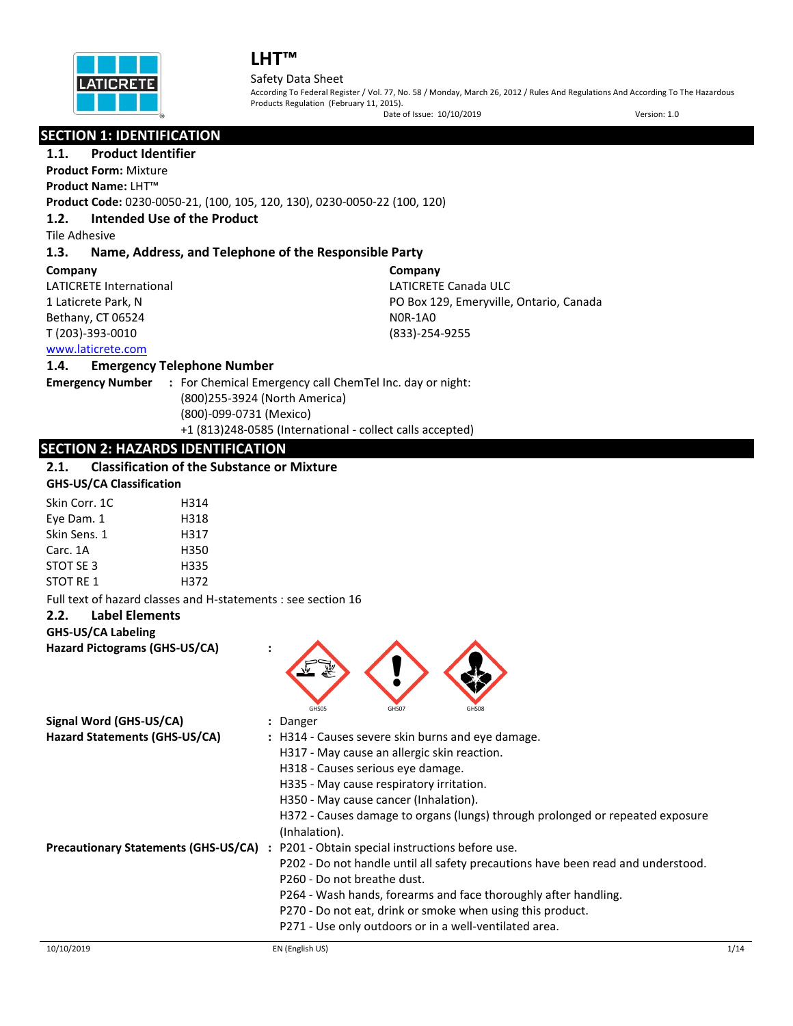

#### Safety Data Sheet

According To Federal Register / Vol. 77, No. 58 / Monday, March 26, 2012 / Rules And Regulations And According To The Hazardous Products Regulation (February 11, 2015).

|                           |                                                               | Date of Issue: 10/10/2019                                                        | Version: 1.0 |
|---------------------------|---------------------------------------------------------------|----------------------------------------------------------------------------------|--------------|
|                           | <b>SECTION 1: IDENTIFICATION</b>                              |                                                                                  |              |
| 1.1.                      | <b>Product Identifier</b>                                     |                                                                                  |              |
|                           | <b>Product Form: Mixture</b>                                  |                                                                                  |              |
| <b>Product Name: LHT™</b> |                                                               |                                                                                  |              |
|                           |                                                               | Product Code: 0230-0050-21, (100, 105, 120, 130), 0230-0050-22 (100, 120)        |              |
| 1.2.                      | Intended Use of the Product                                   |                                                                                  |              |
| <b>Tile Adhesive</b>      |                                                               |                                                                                  |              |
| 1.3.                      |                                                               | Name, Address, and Telephone of the Responsible Party                            |              |
| Company                   |                                                               | Company                                                                          |              |
|                           | <b>LATICRETE International</b>                                | <b>LATICRETE Canada ULC</b>                                                      |              |
| 1 Laticrete Park, N       |                                                               | PO Box 129, Emeryville, Ontario, Canada                                          |              |
| Bethany, CT 06524         |                                                               | <b>NOR-1AO</b>                                                                   |              |
| T (203)-393-0010          |                                                               | (833)-254-9255                                                                   |              |
| www.laticrete.com         |                                                               |                                                                                  |              |
| 1.4.                      | <b>Emergency Telephone Number</b>                             |                                                                                  |              |
| <b>Emergency Number</b>   |                                                               | : For Chemical Emergency call ChemTel Inc. day or night:                         |              |
|                           |                                                               | (800)255-3924 (North America)                                                    |              |
|                           | (800)-099-0731 (Mexico)                                       |                                                                                  |              |
|                           |                                                               | +1 (813)248-0585 (International - collect calls accepted)                        |              |
|                           | <b>SECTION 2: HAZARDS IDENTIFICATION</b>                      |                                                                                  |              |
| 2.1.                      | <b>Classification of the Substance or Mixture</b>             |                                                                                  |              |
|                           | <b>GHS-US/CA Classification</b>                               |                                                                                  |              |
| Skin Corr. 1C             | H314                                                          |                                                                                  |              |
| Eye Dam. 1                | H318                                                          |                                                                                  |              |
| Skin Sens. 1              | H317                                                          |                                                                                  |              |
| Carc. 1A                  | H350                                                          |                                                                                  |              |
| STOT SE 3                 | H335                                                          |                                                                                  |              |
| STOT RE 1                 | H372                                                          |                                                                                  |              |
|                           | Full text of hazard classes and H-statements : see section 16 |                                                                                  |              |
| 2.2.                      | <b>Label Elements</b>                                         |                                                                                  |              |
| <b>GHS-US/CA Labeling</b> |                                                               |                                                                                  |              |
|                           | Hazard Pictograms (GHS-US/CA)                                 |                                                                                  |              |
|                           |                                                               |                                                                                  |              |
|                           |                                                               |                                                                                  |              |
|                           |                                                               | GHS05<br>GHS08<br>GHS07                                                          |              |
|                           | Signal Word (GHS-US/CA)                                       | Danger                                                                           |              |
|                           | Hazard Statements (GHS-US/CA)                                 | : H314 - Causes severe skin burns and eye damage.                                |              |
|                           |                                                               | H317 - May cause an allergic skin reaction.                                      |              |
|                           |                                                               | H318 - Causes serious eye damage.                                                |              |
|                           |                                                               | H335 - May cause respiratory irritation.                                         |              |
|                           |                                                               | H350 - May cause cancer (Inhalation).                                            |              |
|                           |                                                               | H372 - Causes damage to organs (lungs) through prolonged or repeated exposure    |              |
|                           |                                                               | (Inhalation).                                                                    |              |
|                           | <b>Precautionary Statements (GHS-US/CA) :</b>                 | P201 - Obtain special instructions before use.                                   |              |
|                           |                                                               | P202 - Do not handle until all safety precautions have been read and understood. |              |
|                           |                                                               | P260 - Do not breathe dust.                                                      |              |
|                           |                                                               | P264 - Wash hands, forearms and face thoroughly after handling.                  |              |
|                           |                                                               | P270 - Do not eat, drink or smoke when using this product.                       |              |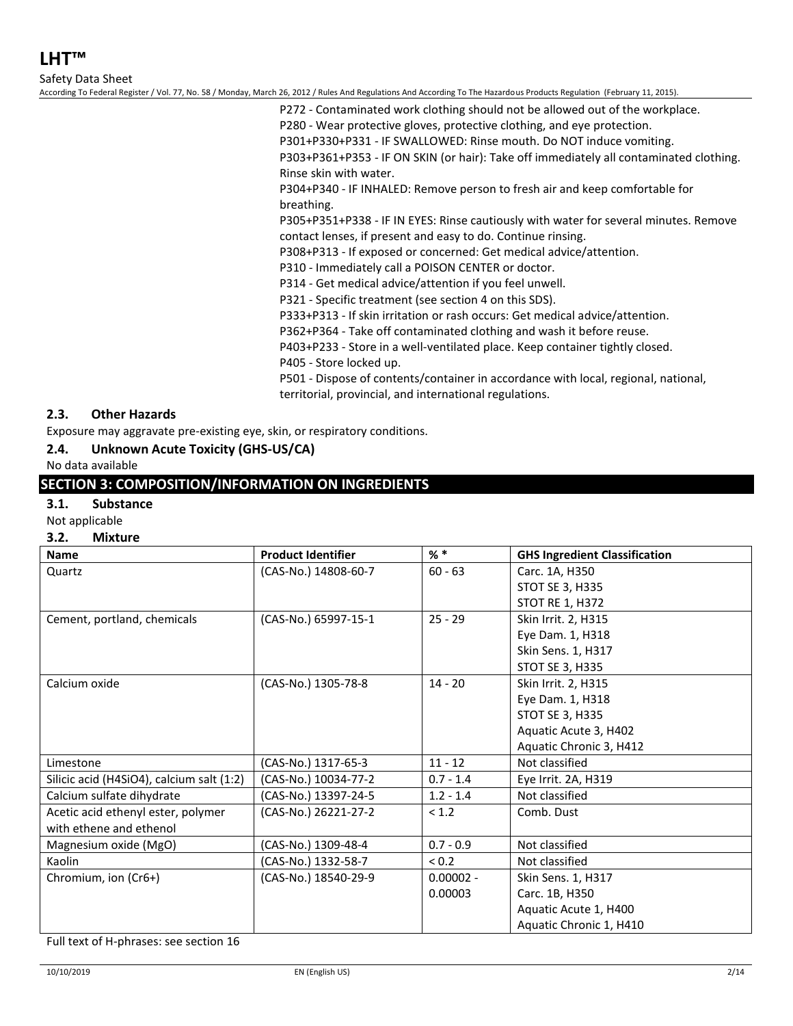Safety Data Sheet

According To Federal Register / Vol. 77, No. 58 / Monday, March 26, 2012 / Rules And Regulations And According To The Hazardous Products Regulation (February 11, 2015).

P272 - Contaminated work clothing should not be allowed out of the workplace.

P280 - Wear protective gloves, protective clothing, and eye protection.

P301+P330+P331 - IF SWALLOWED: Rinse mouth. Do NOT induce vomiting.

P303+P361+P353 - IF ON SKIN (or hair): Take off immediately all contaminated clothing. Rinse skin with water.

P304+P340 - IF INHALED: Remove person to fresh air and keep comfortable for breathing.

P305+P351+P338 - IF IN EYES: Rinse cautiously with water for several minutes. Remove contact lenses, if present and easy to do. Continue rinsing.

P308+P313 - If exposed or concerned: Get medical advice/attention.

P310 - Immediately call a POISON CENTER or doctor.

P314 - Get medical advice/attention if you feel unwell.

P321 - Specific treatment (see section 4 on this SDS).

P333+P313 - If skin irritation or rash occurs: Get medical advice/attention.

P362+P364 - Take off contaminated clothing and wash it before reuse.

P403+P233 - Store in a well-ventilated place. Keep container tightly closed.

P405 - Store locked up.

P501 - Dispose of contents/container in accordance with local, regional, national, territorial, provincial, and international regulations.

## **2.3. Other Hazards**

Exposure may aggravate pre-existing eye, skin, or respiratory conditions.

## **2.4. Unknown Acute Toxicity (GHS-US/CA)**

#### No data available

## **SECTION 3: COMPOSITION/INFORMATION ON INGREDIENTS**

#### **3.1. Substance**

Not applicable

#### **3.2. Mixture**

| Name                                      | <b>Product Identifier</b> | $%$ *       | <b>GHS Ingredient Classification</b> |
|-------------------------------------------|---------------------------|-------------|--------------------------------------|
| Quartz                                    | (CAS-No.) 14808-60-7      | $60 - 63$   | Carc. 1A, H350                       |
|                                           |                           |             | <b>STOT SE 3, H335</b>               |
|                                           |                           |             | STOT RE 1, H372                      |
| Cement, portland, chemicals               | (CAS-No.) 65997-15-1      | $25 - 29$   | Skin Irrit. 2, H315                  |
|                                           |                           |             | Eye Dam. 1, H318                     |
|                                           |                           |             | Skin Sens. 1, H317                   |
|                                           |                           |             | STOT SE 3, H335                      |
| Calcium oxide                             | (CAS-No.) 1305-78-8       | $14 - 20$   | Skin Irrit. 2, H315                  |
|                                           |                           |             | Eye Dam. 1, H318                     |
|                                           |                           |             | <b>STOT SE 3, H335</b>               |
|                                           |                           |             | Aquatic Acute 3, H402                |
|                                           |                           |             | Aquatic Chronic 3, H412              |
| Limestone                                 | (CAS-No.) 1317-65-3       | $11 - 12$   | Not classified                       |
| Silicic acid (H4SiO4), calcium salt (1:2) | (CAS-No.) 10034-77-2      | $0.7 - 1.4$ | Eye Irrit. 2A, H319                  |
| Calcium sulfate dihydrate                 | (CAS-No.) 13397-24-5      | $1.2 - 1.4$ | Not classified                       |
| Acetic acid ethenyl ester, polymer        | (CAS-No.) 26221-27-2      | < 1.2       | Comb. Dust                           |
| with ethene and ethenol                   |                           |             |                                      |
| Magnesium oxide (MgO)                     | (CAS-No.) 1309-48-4       | $0.7 - 0.9$ | Not classified                       |
| Kaolin                                    | (CAS-No.) 1332-58-7       | < 0.2       | Not classified                       |
| Chromium, ion (Cr6+)                      | (CAS-No.) 18540-29-9      | $0.00002 -$ | Skin Sens. 1, H317                   |
|                                           |                           | 0.00003     | Carc. 1B, H350                       |
|                                           |                           |             | Aquatic Acute 1, H400                |
|                                           |                           |             | Aquatic Chronic 1, H410              |

Full text of H-phrases: see section 16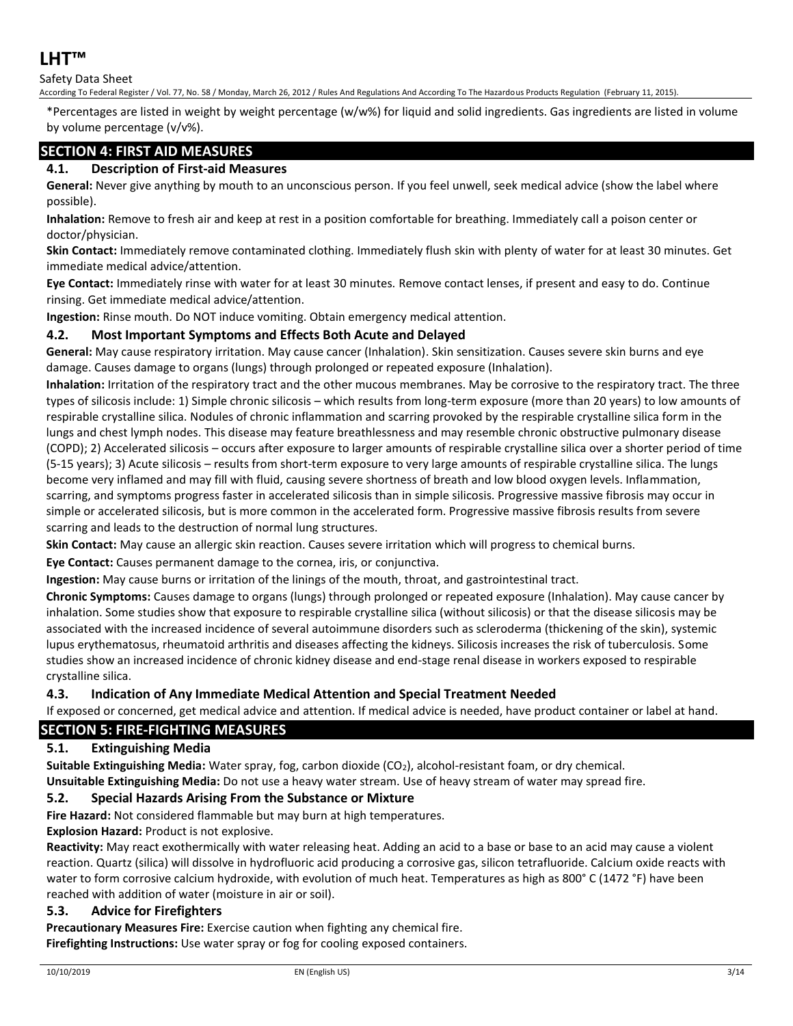## Safety Data Sheet

According To Federal Register / Vol. 77, No. 58 / Monday, March 26, 2012 / Rules And Regulations And According To The Hazardous Products Regulation (February 11, 2015).

\*Percentages are listed in weight by weight percentage (w/w%) for liquid and solid ingredients. Gas ingredients are listed in volume by volume percentage (v/v%).

## **SECTION 4: FIRST AID MEASURES**

## **4.1. Description of First-aid Measures**

**General:** Never give anything by mouth to an unconscious person. If you feel unwell, seek medical advice (show the label where possible).

**Inhalation:** Remove to fresh air and keep at rest in a position comfortable for breathing. Immediately call a poison center or doctor/physician.

**Skin Contact:** Immediately remove contaminated clothing. Immediately flush skin with plenty of water for at least 30 minutes. Get immediate medical advice/attention.

**Eye Contact:** Immediately rinse with water for at least 30 minutes. Remove contact lenses, if present and easy to do. Continue rinsing. Get immediate medical advice/attention.

**Ingestion:** Rinse mouth. Do NOT induce vomiting. Obtain emergency medical attention.

#### **4.2. Most Important Symptoms and Effects Both Acute and Delayed**

**General:** May cause respiratory irritation. May cause cancer (Inhalation). Skin sensitization. Causes severe skin burns and eye damage. Causes damage to organs (lungs) through prolonged or repeated exposure (Inhalation).

**Inhalation:** Irritation of the respiratory tract and the other mucous membranes. May be corrosive to the respiratory tract. The three types of silicosis include: 1) Simple chronic silicosis – which results from long-term exposure (more than 20 years) to low amounts of respirable crystalline silica. Nodules of chronic inflammation and scarring provoked by the respirable crystalline silica form in the lungs and chest lymph nodes. This disease may feature breathlessness and may resemble chronic obstructive pulmonary disease (COPD); 2) Accelerated silicosis – occurs after exposure to larger amounts of respirable crystalline silica over a shorter period of time (5-15 years); 3) Acute silicosis – results from short-term exposure to very large amounts of respirable crystalline silica. The lungs become very inflamed and may fill with fluid, causing severe shortness of breath and low blood oxygen levels. Inflammation, scarring, and symptoms progress faster in accelerated silicosis than in simple silicosis. Progressive massive fibrosis may occur in simple or accelerated silicosis, but is more common in the accelerated form. Progressive massive fibrosis results from severe scarring and leads to the destruction of normal lung structures.

**Skin Contact:** May cause an allergic skin reaction. Causes severe irritation which will progress to chemical burns.

**Eye Contact:** Causes permanent damage to the cornea, iris, or conjunctiva.

**Ingestion:** May cause burns or irritation of the linings of the mouth, throat, and gastrointestinal tract.

**Chronic Symptoms:** Causes damage to organs (lungs) through prolonged or repeated exposure (Inhalation). May cause cancer by inhalation. Some studies show that exposure to respirable crystalline silica (without silicosis) or that the disease silicosis may be associated with the increased incidence of several autoimmune disorders such as scleroderma (thickening of the skin), systemic lupus erythematosus, rheumatoid arthritis and diseases affecting the kidneys. Silicosis increases the risk of tuberculosis. Some studies show an increased incidence of chronic kidney disease and end-stage renal disease in workers exposed to respirable crystalline silica.

#### **4.3. Indication of Any Immediate Medical Attention and Special Treatment Needed**

If exposed or concerned, get medical advice and attention. If medical advice is needed, have product container or label at hand.

## **SECTION 5: FIRE-FIGHTING MEASURES**

#### **5.1. Extinguishing Media**

**Suitable Extinguishing Media:** Water spray, fog, carbon dioxide (CO2), alcohol-resistant foam, or dry chemical. **Unsuitable Extinguishing Media:** Do not use a heavy water stream. Use of heavy stream of water may spread fire.

### **5.2. Special Hazards Arising From the Substance or Mixture**

**Fire Hazard:** Not considered flammable but may burn at high temperatures.

**Explosion Hazard:** Product is not explosive.

**Reactivity:** May react exothermically with water releasing heat. Adding an acid to a base or base to an acid may cause a violent reaction. Quartz (silica) will dissolve in hydrofluoric acid producing a corrosive gas, silicon tetrafluoride. Calcium oxide reacts with water to form corrosive calcium hydroxide, with evolution of much heat. Temperatures as high as 800° C (1472 °F) have been reached with addition of water (moisture in air or soil).

#### **5.3. Advice for Firefighters**

**Precautionary Measures Fire:** Exercise caution when fighting any chemical fire. **Firefighting Instructions:** Use water spray or fog for cooling exposed containers.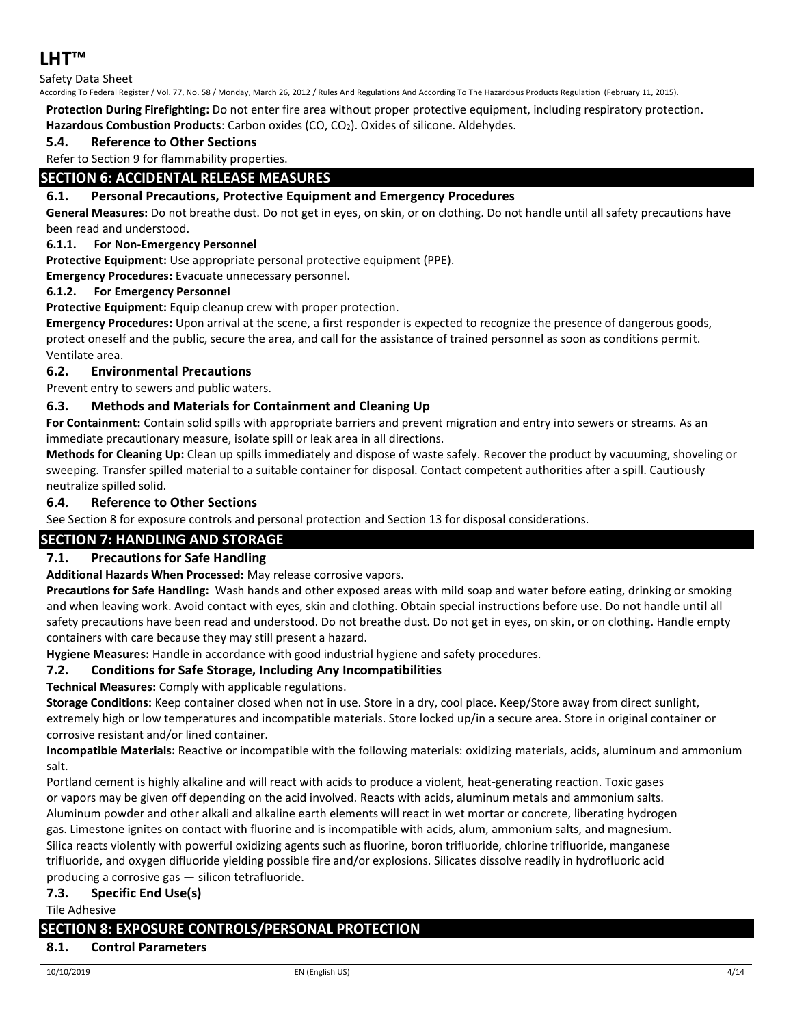## Safety Data Sheet

According To Federal Register / Vol. 77, No. 58 / Monday, March 26, 2012 / Rules And Regulations And According To The Hazardous Products Regulation (February 11, 2015).

**Protection During Firefighting:** Do not enter fire area without proper protective equipment, including respiratory protection. **Hazardous Combustion Products**: Carbon oxides (CO, CO2). Oxides of silicone. Aldehydes.

## **5.4. Reference to Other Sections**

Refer to Section 9 for flammability properties.

## **SECTION 6: ACCIDENTAL RELEASE MEASURES**

## **6.1. Personal Precautions, Protective Equipment and Emergency Procedures**

**General Measures:** Do not breathe dust. Do not get in eyes, on skin, or on clothing. Do not handle until all safety precautions have been read and understood.

#### **6.1.1. For Non-Emergency Personnel**

**Protective Equipment:** Use appropriate personal protective equipment (PPE).

**Emergency Procedures:** Evacuate unnecessary personnel.

#### **6.1.2. For Emergency Personnel**

**Protective Equipment:** Equip cleanup crew with proper protection.

**Emergency Procedures:** Upon arrival at the scene, a first responder is expected to recognize the presence of dangerous goods, protect oneself and the public, secure the area, and call for the assistance of trained personnel as soon as conditions permit. Ventilate area.

#### **6.2. Environmental Precautions**

Prevent entry to sewers and public waters.

## **6.3. Methods and Materials for Containment and Cleaning Up**

**For Containment:** Contain solid spills with appropriate barriers and prevent migration and entry into sewers or streams. As an immediate precautionary measure, isolate spill or leak area in all directions.

**Methods for Cleaning Up:** Clean up spills immediately and dispose of waste safely. Recover the product by vacuuming, shoveling or sweeping. Transfer spilled material to a suitable container for disposal. Contact competent authorities after a spill. Cautiously neutralize spilled solid.

#### **6.4. Reference to Other Sections**

See Section 8 for exposure controls and personal protection and Section 13 for disposal considerations.

## **SECTION 7: HANDLING AND STORAGE**

#### **7.1. Precautions for Safe Handling**

#### **Additional Hazards When Processed:** May release corrosive vapors.

**Precautions for Safe Handling:** Wash hands and other exposed areas with mild soap and water before eating, drinking or smoking and when leaving work. Avoid contact with eyes, skin and clothing. Obtain special instructions before use. Do not handle until all safety precautions have been read and understood. Do not breathe dust. Do not get in eyes, on skin, or on clothing. Handle empty containers with care because they may still present a hazard.

**Hygiene Measures:** Handle in accordance with good industrial hygiene and safety procedures.

#### **7.2. Conditions for Safe Storage, Including Any Incompatibilities**

**Technical Measures:** Comply with applicable regulations.

**Storage Conditions:** Keep container closed when not in use. Store in a dry, cool place. Keep/Store away from direct sunlight, extremely high or low temperatures and incompatible materials. Store locked up/in a secure area. Store in original container or corrosive resistant and/or lined container.

**Incompatible Materials:** Reactive or incompatible with the following materials: oxidizing materials, acids, aluminum and ammonium salt.

Portland cement is highly alkaline and will react with acids to produce a violent, heat-generating reaction. Toxic gases or vapors may be given off depending on the acid involved. Reacts with acids, aluminum metals and ammonium salts. Aluminum powder and other alkali and alkaline earth elements will react in wet mortar or concrete, liberating hydrogen gas. Limestone ignites on contact with fluorine and is incompatible with acids, alum, ammonium salts, and magnesium. Silica reacts violently with powerful oxidizing agents such as fluorine, boron trifluoride, chlorine trifluoride, manganese trifluoride, and oxygen difluoride yielding possible fire and/or explosions. Silicates dissolve readily in hydrofluoric acid producing a corrosive gas — silicon tetrafluoride.

#### **7.3. Specific End Use(s)**

Tile Adhesive

## **SECTION 8: EXPOSURE CONTROLS/PERSONAL PROTECTION**

#### **8.1. Control Parameters**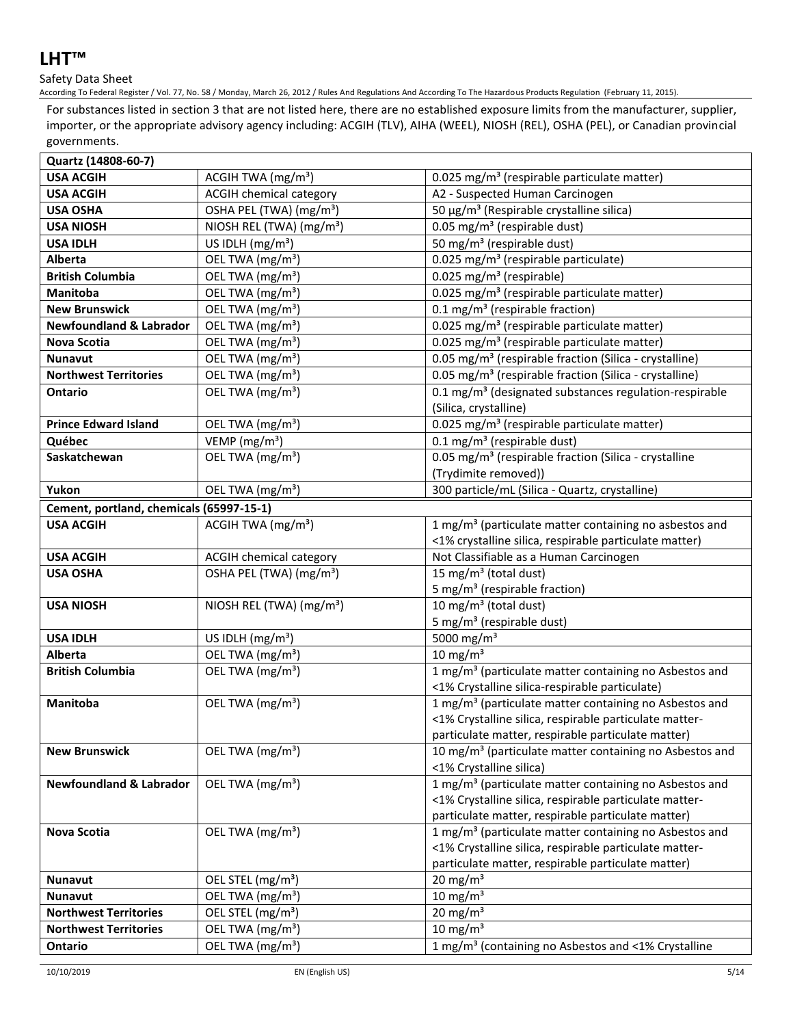## Safety Data Sheet

According To Federal Register / Vol. 77, No. 58 / Monday, March 26, 2012 / Rules And Regulations And According To The Hazardous Products Regulation (February 11, 2015).

For substances listed in section 3 that are not listed here, there are no established exposure limits from the manufacturer, supplier, importer, or the appropriate advisory agency including: ACGIH (TLV), AIHA (WEEL), NIOSH (REL), OSHA (PEL), or Canadian provincial governments.

| Quartz (14808-60-7)                      |                                      |                                                                                                                                                                                    |  |  |
|------------------------------------------|--------------------------------------|------------------------------------------------------------------------------------------------------------------------------------------------------------------------------------|--|--|
| <b>USA ACGIH</b>                         | ACGIH TWA (mg/m <sup>3</sup> )       | 0.025 mg/m <sup>3</sup> (respirable particulate matter)                                                                                                                            |  |  |
| <b>USA ACGIH</b>                         | ACGIH chemical category              | A2 - Suspected Human Carcinogen                                                                                                                                                    |  |  |
| <b>USA OSHA</b>                          | OSHA PEL (TWA) (mg/m <sup>3</sup> )  | 50 μg/m <sup>3</sup> (Respirable crystalline silica)                                                                                                                               |  |  |
| <b>USA NIOSH</b>                         | NIOSH REL (TWA) (mg/m <sup>3</sup> ) | 0.05 mg/m <sup>3</sup> (respirable dust)                                                                                                                                           |  |  |
| <b>USA IDLH</b>                          | US IDLH $(mg/m3)$                    | 50 mg/m <sup>3</sup> (respirable dust)                                                                                                                                             |  |  |
| Alberta                                  | OEL TWA (mg/m <sup>3</sup> )         | 0.025 mg/m <sup>3</sup> (respirable particulate)                                                                                                                                   |  |  |
| <b>British Columbia</b>                  | OEL TWA (mg/m <sup>3</sup> )         | 0.025 mg/m <sup>3</sup> (respirable)                                                                                                                                               |  |  |
| Manitoba                                 | OEL TWA (mg/m <sup>3</sup> )         | 0.025 mg/m <sup>3</sup> (respirable particulate matter)                                                                                                                            |  |  |
| <b>New Brunswick</b>                     | OEL TWA (mg/m <sup>3</sup> )         | 0.1 mg/m <sup>3</sup> (respirable fraction)                                                                                                                                        |  |  |
| <b>Newfoundland &amp; Labrador</b>       | OEL TWA (mg/m <sup>3</sup> )         | 0.025 mg/m <sup>3</sup> (respirable particulate matter)                                                                                                                            |  |  |
| <b>Nova Scotia</b>                       | OEL TWA (mg/m <sup>3</sup> )         | 0.025 mg/m <sup>3</sup> (respirable particulate matter)                                                                                                                            |  |  |
| <b>Nunavut</b>                           | OEL TWA (mg/m <sup>3</sup> )         | 0.05 mg/m <sup>3</sup> (respirable fraction (Silica - crystalline)                                                                                                                 |  |  |
| <b>Northwest Territories</b>             | OEL TWA (mg/m <sup>3</sup> )         | 0.05 mg/m <sup>3</sup> (respirable fraction (Silica - crystalline)                                                                                                                 |  |  |
| Ontario                                  | OEL TWA (mg/m <sup>3</sup> )         | 0.1 mg/m <sup>3</sup> (designated substances regulation-respirable<br>(Silica, crystalline)                                                                                        |  |  |
| <b>Prince Edward Island</b>              | OEL TWA (mg/m <sup>3</sup> )         | 0.025 mg/m <sup>3</sup> (respirable particulate matter)                                                                                                                            |  |  |
| Québec                                   | VEMP ( $mg/m3$ )                     | $0.1 \text{ mg/m}^3$ (respirable dust)                                                                                                                                             |  |  |
| Saskatchewan                             | OEL TWA (mg/m <sup>3</sup> )         | 0.05 mg/m <sup>3</sup> (respirable fraction (Silica - crystalline<br>(Trydimite removed))                                                                                          |  |  |
| Yukon                                    | OEL TWA (mg/m <sup>3</sup> )         | 300 particle/mL (Silica - Quartz, crystalline)                                                                                                                                     |  |  |
| Cement, portland, chemicals (65997-15-1) |                                      |                                                                                                                                                                                    |  |  |
| <b>USA ACGIH</b>                         | ACGIH TWA (mg/m <sup>3</sup> )       | 1 mg/m <sup>3</sup> (particulate matter containing no asbestos and<br><1% crystalline silica, respirable particulate matter)                                                       |  |  |
| <b>USA ACGIH</b>                         | <b>ACGIH chemical category</b>       | Not Classifiable as a Human Carcinogen                                                                                                                                             |  |  |
| <b>USA OSHA</b>                          | OSHA PEL (TWA) (mg/m <sup>3</sup> )  | 15 mg/m <sup>3</sup> (total dust)<br>5 mg/m <sup>3</sup> (respirable fraction)                                                                                                     |  |  |
| <b>USA NIOSH</b>                         | NIOSH REL (TWA) (mg/m <sup>3</sup> ) | 10 mg/m $3$ (total dust)<br>5 mg/m <sup>3</sup> (respirable dust)                                                                                                                  |  |  |
| <b>USA IDLH</b>                          | US IDLH $(mg/m3)$                    | 5000 mg/m <sup>3</sup>                                                                                                                                                             |  |  |
| Alberta                                  | OEL TWA (mg/m <sup>3</sup> )         | 10 mg/m $3$                                                                                                                                                                        |  |  |
| <b>British Columbia</b>                  | OEL TWA (mg/m <sup>3</sup> )         | 1 mg/m <sup>3</sup> (particulate matter containing no Asbestos and                                                                                                                 |  |  |
|                                          |                                      | <1% Crystalline silica-respirable particulate)                                                                                                                                     |  |  |
| Manitoba                                 | OEL TWA (mg/m <sup>3</sup> )         | 1 mg/m <sup>3</sup> (particulate matter containing no Asbestos and<br><1% Crystalline silica, respirable particulate matter-<br>particulate matter, respirable particulate matter) |  |  |
| <b>New Brunswick</b>                     | OEL TWA (mg/m <sup>3</sup> )         | 10 mg/m <sup>3</sup> (particulate matter containing no Asbestos and<br><1% Crystalline silica)                                                                                     |  |  |
| <b>Newfoundland &amp; Labrador</b>       | OEL TWA (mg/m <sup>3</sup> )         | 1 mg/m <sup>3</sup> (particulate matter containing no Asbestos and<br><1% Crystalline silica, respirable particulate matter-<br>particulate matter, respirable particulate matter) |  |  |
| <b>Nova Scotia</b>                       | OEL TWA (mg/m <sup>3</sup> )         | 1 mg/m <sup>3</sup> (particulate matter containing no Asbestos and<br><1% Crystalline silica, respirable particulate matter-<br>particulate matter, respirable particulate matter) |  |  |
| <b>Nunavut</b>                           | OEL STEL (mg/m <sup>3</sup> )        | $20 \text{ mg/m}^3$                                                                                                                                                                |  |  |
| <b>Nunavut</b>                           | OEL TWA (mg/m <sup>3</sup> )         | 10 mg/m $3$                                                                                                                                                                        |  |  |
| <b>Northwest Territories</b>             | OEL STEL (mg/m <sup>3</sup> )        | 20 mg/m <sup>3</sup>                                                                                                                                                               |  |  |
| <b>Northwest Territories</b>             | OEL TWA (mg/m <sup>3</sup> )         | $10 \text{ mg/m}^3$                                                                                                                                                                |  |  |
| Ontario                                  | OEL TWA (mg/m <sup>3</sup> )         | 1 mg/m <sup>3</sup> (containing no Asbestos and <1% Crystalline                                                                                                                    |  |  |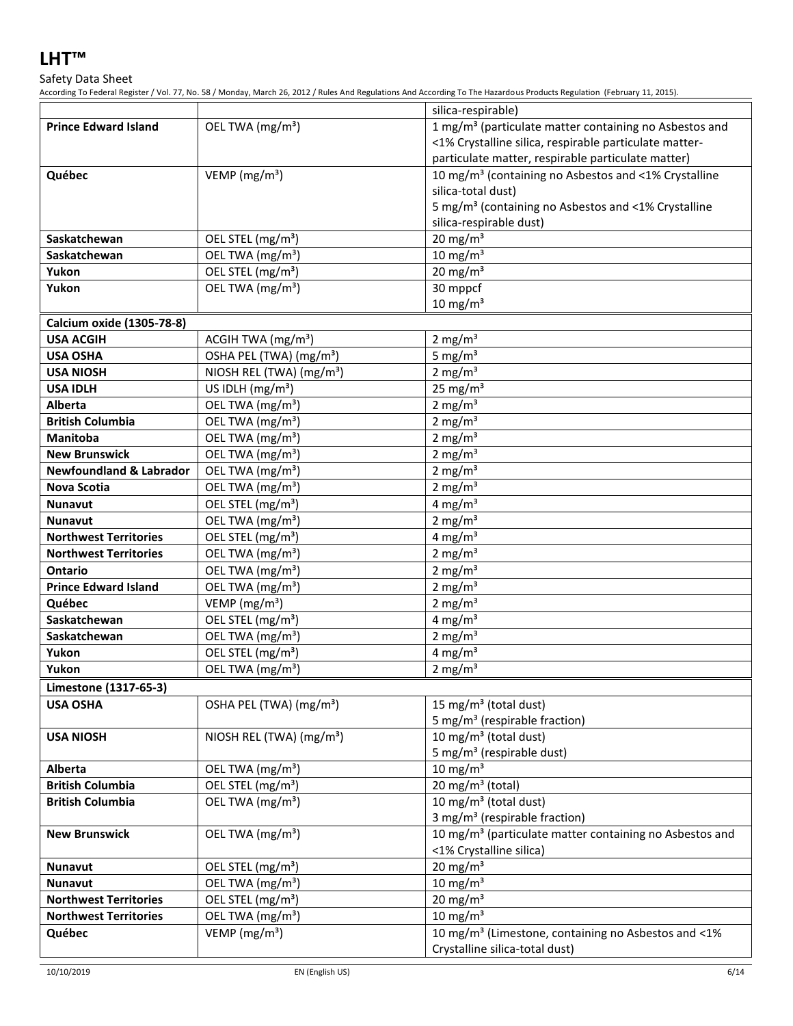## Safety Data Sheet

According To Federal Register / Vol. 77, No. 58 / Monday, March 26, 2012 / Rules And Regulations And According To The Hazardous Products Regulation (February 11, 2015).

|                                          |                                                   | silica-respirable)                                                  |
|------------------------------------------|---------------------------------------------------|---------------------------------------------------------------------|
| <b>Prince Edward Island</b>              | OEL TWA (mg/m <sup>3</sup> )                      | 1 mg/m <sup>3</sup> (particulate matter containing no Asbestos and  |
|                                          |                                                   | <1% Crystalline silica, respirable particulate matter-              |
|                                          |                                                   | particulate matter, respirable particulate matter)                  |
| Québec                                   | VEMP ( $mg/m3$ )                                  | 10 mg/m <sup>3</sup> (containing no Asbestos and <1% Crystalline    |
|                                          |                                                   | silica-total dust)                                                  |
|                                          |                                                   | 5 mg/m <sup>3</sup> (containing no Asbestos and <1% Crystalline     |
|                                          |                                                   | silica-respirable dust)                                             |
| Saskatchewan                             | OEL STEL (mg/m <sup>3</sup> )                     | $20 \text{ mg/m}^3$                                                 |
| Saskatchewan                             | OEL TWA (mg/m <sup>3</sup> )                      | 10 mg/m $3$                                                         |
| Yukon                                    | OEL STEL (mg/m <sup>3</sup> )                     | $20 \text{ mg/m}^3$                                                 |
| Yukon                                    | OEL TWA (mg/m <sup>3</sup> )                      | 30 mppcf                                                            |
|                                          |                                                   | $10 \text{ mg/m}^3$                                                 |
| Calcium oxide (1305-78-8)                |                                                   |                                                                     |
| <b>USA ACGIH</b>                         | ACGIH TWA (mg/m <sup>3</sup> )                    | $2 \text{ mg/m}^3$                                                  |
| <b>USA OSHA</b>                          | OSHA PEL (TWA) (mg/m <sup>3</sup> )               | 5 mg/ $m3$                                                          |
| <b>USA NIOSH</b>                         | NIOSH REL (TWA) (mg/m <sup>3</sup> )              | 2 mg/ $m3$                                                          |
| <b>USA IDLH</b>                          | US IDLH (mg/m <sup>3</sup> )                      | 25 mg/ $m3$                                                         |
| Alberta                                  | OEL TWA (mg/m <sup>3</sup> )                      | 2 mg/m $3$                                                          |
| <b>British Columbia</b>                  | OEL TWA (mg/m <sup>3</sup> )                      | 2 mg/ $m3$                                                          |
| <b>Manitoba</b>                          | OEL TWA (mg/m <sup>3</sup> )                      | 2 mg/ $m3$                                                          |
| <b>New Brunswick</b>                     | OEL TWA (mg/m <sup>3</sup> )                      | 2 mg/ $m3$                                                          |
| <b>Newfoundland &amp; Labrador</b>       | OEL TWA (mg/m <sup>3</sup> )                      | 2 mg/ $m3$                                                          |
| <b>Nova Scotia</b>                       | OEL TWA (mg/m <sup>3</sup> )                      | 2 mg/ $m3$                                                          |
| <b>Nunavut</b>                           | OEL STEL (mg/m <sup>3</sup> )                     | 4 mg/m $3$                                                          |
| <b>Nunavut</b>                           | OEL TWA (mg/m <sup>3</sup> )                      | 2 mg/m $3$                                                          |
| <b>Northwest Territories</b>             | OEL STEL (mg/m <sup>3</sup> )                     | 4 mg/ $m3$                                                          |
| <b>Northwest Territories</b>             | OEL TWA (mg/m <sup>3</sup> )                      | 2 mg/ $m3$                                                          |
| <b>Ontario</b>                           | OEL TWA (mg/m <sup>3</sup> )                      | 2 mg/m $3$                                                          |
| <b>Prince Edward Island</b><br>Québec    | OEL TWA (mg/m <sup>3</sup> )                      | 2 mg/ $m3$                                                          |
| Saskatchewan                             | VEMP ( $mg/m3$ )<br>OEL STEL (mg/m <sup>3</sup> ) | 2 mg/ $m3$<br>4 mg/ $m3$                                            |
| Saskatchewan                             | OEL TWA (mg/m <sup>3</sup> )                      | 2 mg/ $m3$                                                          |
| Yukon                                    | OEL STEL (mg/m <sup>3</sup> )                     | 4 mg/ $m3$                                                          |
| Yukon                                    | OEL TWA (mg/m <sup>3</sup> )                      | $2 \text{ mg/m}^3$                                                  |
|                                          |                                                   |                                                                     |
| Limestone (1317-65-3)<br><b>USA OSHA</b> | OSHA PEL (TWA) (mg/m <sup>3</sup> )               | 15 mg/m <sup>3</sup> (total dust)                                   |
|                                          |                                                   | 5 mg/m <sup>3</sup> (respirable fraction)                           |
| <b>USA NIOSH</b>                         | NIOSH REL (TWA) (mg/m <sup>3</sup> )              | 10 mg/m <sup>3</sup> (total dust)                                   |
|                                          |                                                   | 5 mg/m <sup>3</sup> (respirable dust)                               |
| Alberta                                  | OEL TWA (mg/m <sup>3</sup> )                      | 10 mg/m $3$                                                         |
| <b>British Columbia</b>                  | OEL STEL (mg/m <sup>3</sup> )                     | 20 mg/m <sup>3</sup> (total)                                        |
| <b>British Columbia</b>                  | OEL TWA (mg/m <sup>3</sup> )                      | 10 mg/m <sup>3</sup> (total dust)                                   |
|                                          |                                                   | 3 mg/m <sup>3</sup> (respirable fraction)                           |
| <b>New Brunswick</b>                     | OEL TWA (mg/m <sup>3</sup> )                      | 10 mg/m <sup>3</sup> (particulate matter containing no Asbestos and |
|                                          |                                                   | <1% Crystalline silica)                                             |
| <b>Nunavut</b>                           | OEL STEL (mg/m <sup>3</sup> )                     | 20 mg/m $3$                                                         |
| <b>Nunavut</b>                           | OEL TWA (mg/m <sup>3</sup> )                      | 10 mg/m $3$                                                         |
| <b>Northwest Territories</b>             | OEL STEL (mg/m <sup>3</sup> )                     | 20 mg/m $3$                                                         |
| <b>Northwest Territories</b>             | OEL TWA (mg/m <sup>3</sup> )                      | 10 mg/m $3$                                                         |
| Québec                                   | VEMP ( $mg/m3$ )                                  | 10 mg/m <sup>3</sup> (Limestone, containing no Asbestos and <1%     |
|                                          |                                                   | Crystalline silica-total dust)                                      |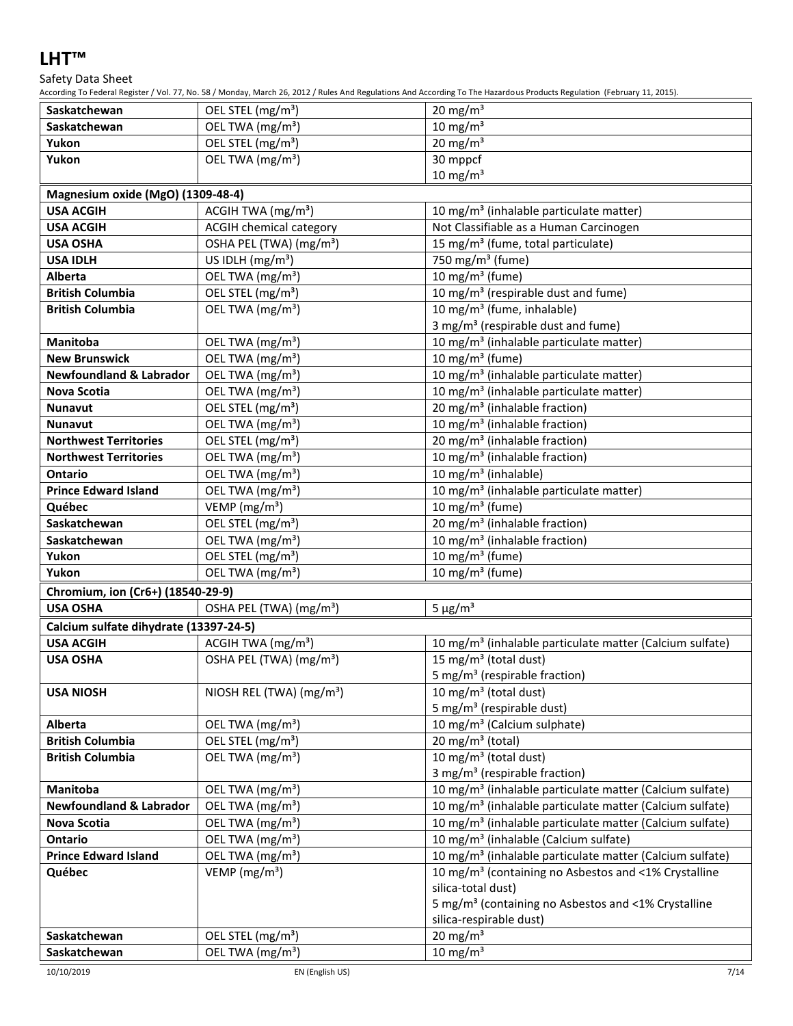## Safety Data Sheet

According To Federal Register / Vol. 77, No. 58 / Monday, March 26, 2012 / Rules And Regulations And According To The Hazardous Products Regulation (February 11, 2015).

| Saskatchewan                           | OEL STEL (mg/m <sup>3</sup> )<br>OEL TWA (mg/m <sup>3</sup> ) | 20 mg/m $3$<br>$10 \text{ mg/m}^3$                                   |  |  |
|----------------------------------------|---------------------------------------------------------------|----------------------------------------------------------------------|--|--|
| Saskatchewan<br>Yukon                  | OEL STEL (mg/m <sup>3</sup> )                                 | $20 \text{ mg/m}^3$                                                  |  |  |
| Yukon                                  |                                                               |                                                                      |  |  |
|                                        | OEL TWA (mg/m <sup>3</sup> )                                  | 30 mppcf<br>$10 \text{ mg/m}^3$                                      |  |  |
| Magnesium oxide (MgO) (1309-48-4)      |                                                               |                                                                      |  |  |
| <b>USA ACGIH</b>                       | ACGIH TWA (mg/m <sup>3</sup> )                                | 10 mg/m <sup>3</sup> (inhalable particulate matter)                  |  |  |
| <b>USA ACGIH</b>                       | <b>ACGIH chemical category</b>                                | Not Classifiable as a Human Carcinogen                               |  |  |
| <b>USA OSHA</b>                        | OSHA PEL (TWA) (mg/m <sup>3</sup> )                           | 15 mg/m <sup>3</sup> (fume, total particulate)                       |  |  |
| <b>USA IDLH</b>                        | US IDLH (mg/m <sup>3</sup> )                                  | 750 mg/m <sup>3</sup> (fume)                                         |  |  |
| Alberta                                | OEL TWA (mg/m <sup>3</sup> )                                  | 10 mg/m <sup>3</sup> (fume)                                          |  |  |
| <b>British Columbia</b>                | OEL STEL (mg/m <sup>3</sup> )                                 | 10 mg/m <sup>3</sup> (respirable dust and fume)                      |  |  |
| <b>British Columbia</b>                | OEL TWA (mg/m <sup>3</sup> )                                  | 10 mg/m <sup>3</sup> (fume, inhalable)                               |  |  |
|                                        |                                                               | 3 mg/m <sup>3</sup> (respirable dust and fume)                       |  |  |
| Manitoba                               | OEL TWA (mg/m <sup>3</sup> )                                  | 10 mg/m <sup>3</sup> (inhalable particulate matter)                  |  |  |
| <b>New Brunswick</b>                   | OEL TWA (mg/m <sup>3</sup> )                                  | 10 mg/m $3$ (fume)                                                   |  |  |
| <b>Newfoundland &amp; Labrador</b>     | OEL TWA (mg/m <sup>3</sup> )                                  | 10 mg/m <sup>3</sup> (inhalable particulate matter)                  |  |  |
| <b>Nova Scotia</b>                     | OEL TWA (mg/m <sup>3</sup> )                                  | 10 mg/m <sup>3</sup> (inhalable particulate matter)                  |  |  |
| Nunavut                                | OEL STEL (mg/m <sup>3</sup> )                                 | 20 mg/m <sup>3</sup> (inhalable fraction)                            |  |  |
| <b>Nunavut</b>                         | OEL TWA (mg/m <sup>3</sup> )                                  | 10 mg/m <sup>3</sup> (inhalable fraction)                            |  |  |
| <b>Northwest Territories</b>           | OEL STEL (mg/m <sup>3</sup> )                                 | 20 mg/m <sup>3</sup> (inhalable fraction)                            |  |  |
| <b>Northwest Territories</b>           | OEL TWA (mg/m <sup>3</sup> )                                  | 10 mg/m <sup>3</sup> (inhalable fraction)                            |  |  |
| <b>Ontario</b>                         | OEL TWA (mg/m <sup>3</sup> )                                  | 10 mg/m <sup>3</sup> (inhalable)                                     |  |  |
| <b>Prince Edward Island</b>            | OEL TWA (mg/m <sup>3</sup> )                                  | 10 mg/m <sup>3</sup> (inhalable particulate matter)                  |  |  |
| Québec                                 | VEMP (mg/m <sup>3</sup> )                                     | 10 mg/m <sup>3</sup> (fume)                                          |  |  |
| Saskatchewan                           | OEL STEL (mg/m <sup>3</sup> )                                 | $\overline{20}$ mg/m <sup>3</sup> (inhalable fraction)               |  |  |
| Saskatchewan                           | OEL TWA (mg/m <sup>3</sup> )                                  | 10 mg/m <sup>3</sup> (inhalable fraction)                            |  |  |
| Yukon                                  | OEL STEL (mg/m <sup>3</sup> )                                 | 10 mg/m $3$ (fume)                                                   |  |  |
| Yukon                                  | OEL TWA (mg/m <sup>3</sup> )                                  | 10 mg/m $3$ (fume)                                                   |  |  |
| Chromium, ion (Cr6+) (18540-29-9)      |                                                               |                                                                      |  |  |
| <b>USA OSHA</b>                        | OSHA PEL (TWA) (mg/m <sup>3</sup> )                           | $5 \mu g/m^3$                                                        |  |  |
| Calcium sulfate dihydrate (13397-24-5) |                                                               |                                                                      |  |  |
| <b>USA ACGIH</b>                       | ACGIH TWA (mg/m <sup>3</sup> )                                | 10 mg/m <sup>3</sup> (inhalable particulate matter (Calcium sulfate) |  |  |
| <b>USA OSHA</b>                        | OSHA PEL (TWA) (mg/m <sup>3</sup> )                           | 15 mg/m <sup>3</sup> (total dust)                                    |  |  |
|                                        |                                                               | 5 mg/m <sup>3</sup> (respirable fraction)                            |  |  |
| <b>USA NIOSH</b>                       | NIOSH REL (TWA) (mg/m <sup>3</sup> )                          | 10 mg/m <sup>3</sup> (total dust)                                    |  |  |
|                                        |                                                               | 5 mg/m <sup>3</sup> (respirable dust)                                |  |  |
| Alberta                                | OEL TWA (mg/m <sup>3</sup> )                                  | 10 mg/m <sup>3</sup> (Calcium sulphate)                              |  |  |
| <b>British Columbia</b>                | OEL STEL (mg/m <sup>3</sup> )                                 | 20 mg/m <sup>3</sup> (total)                                         |  |  |
| <b>British Columbia</b>                | OEL TWA (mg/m <sup>3</sup> )                                  | 10 mg/m <sup>3</sup> (total dust)                                    |  |  |
|                                        |                                                               | 3 mg/m <sup>3</sup> (respirable fraction)                            |  |  |
| Manitoba                               | OEL TWA (mg/m <sup>3</sup> )                                  | 10 mg/m <sup>3</sup> (inhalable particulate matter (Calcium sulfate) |  |  |
| <b>Newfoundland &amp; Labrador</b>     | OEL TWA (mg/m <sup>3</sup> )                                  | 10 mg/m <sup>3</sup> (inhalable particulate matter (Calcium sulfate) |  |  |
| Nova Scotia                            | OEL TWA (mg/m <sup>3</sup> )                                  | 10 mg/m <sup>3</sup> (inhalable particulate matter (Calcium sulfate) |  |  |
| <b>Ontario</b>                         | OEL TWA (mg/m <sup>3</sup> )                                  | 10 mg/m <sup>3</sup> (inhalable (Calcium sulfate)                    |  |  |
| <b>Prince Edward Island</b>            | OEL TWA (mg/m <sup>3</sup> )                                  | 10 mg/m <sup>3</sup> (inhalable particulate matter (Calcium sulfate) |  |  |
| Québec                                 | VEMP ( $mg/m3$ )                                              | 10 mg/m <sup>3</sup> (containing no Asbestos and <1% Crystalline     |  |  |
|                                        |                                                               | silica-total dust)                                                   |  |  |
|                                        |                                                               | 5 mg/m <sup>3</sup> (containing no Asbestos and <1% Crystalline      |  |  |
|                                        |                                                               | silica-respirable dust)                                              |  |  |
| Saskatchewan                           | OEL STEL (mg/m <sup>3</sup> )                                 | 20 mg/m $3$                                                          |  |  |
| Saskatchewan                           | OEL TWA (mg/m <sup>3</sup> )                                  | 10 mg/m $3$                                                          |  |  |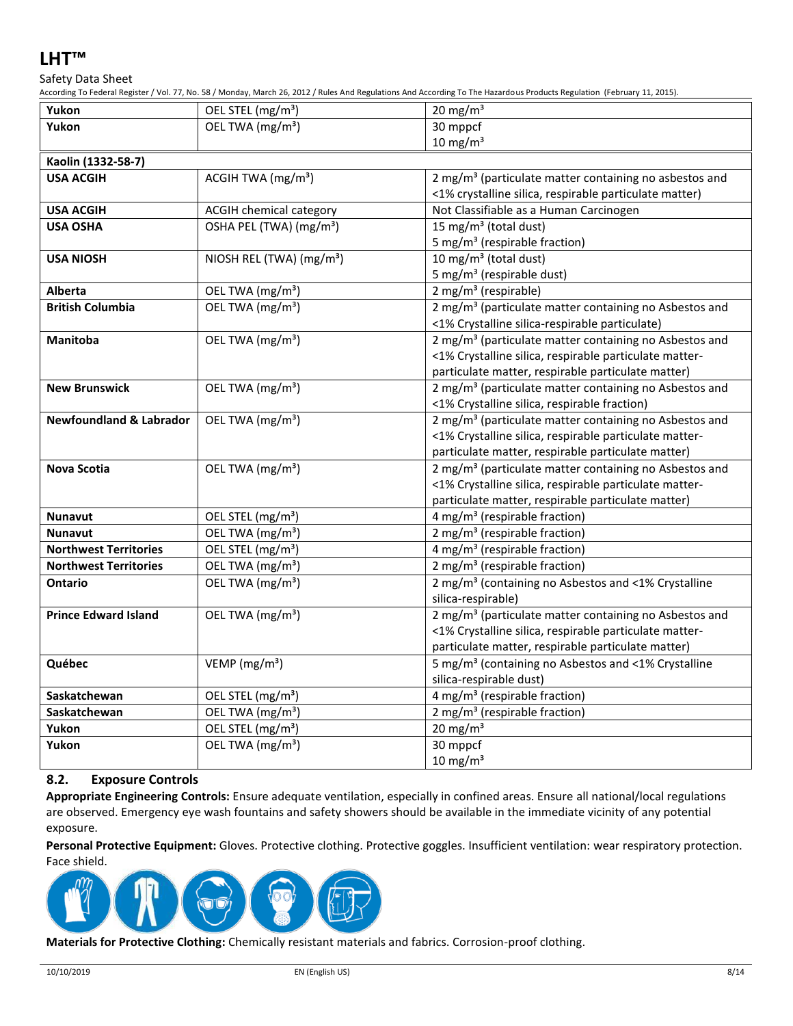Safety Data Sheet

According To Federal Register / Vol. 77, No. 58 / Monday, March 26, 2012 / Rules And Regulations And According To The Hazardous Products Regulation (February 11, 2015).

| Yukon                              | OEL STEL (mg/m <sup>3</sup> )        | riculumg To Federal Register / Vul. 77, NO. 307 Munday, March 20, 2012 / Rules And Regulations And According To The Hazardous Froducts Regulation (February 11, 20.<br>20 mg/m $3$ |
|------------------------------------|--------------------------------------|------------------------------------------------------------------------------------------------------------------------------------------------------------------------------------|
| Yukon                              | OEL TWA (mg/m <sup>3</sup> )         | 30 mppcf                                                                                                                                                                           |
|                                    |                                      | $10 \text{ mg/m}^3$                                                                                                                                                                |
| Kaolin (1332-58-7)                 |                                      |                                                                                                                                                                                    |
| <b>USA ACGIH</b>                   | ACGIH TWA (mg/m <sup>3</sup> )       | 2 mg/m <sup>3</sup> (particulate matter containing no asbestos and                                                                                                                 |
|                                    |                                      | <1% crystalline silica, respirable particulate matter)                                                                                                                             |
| <b>USA ACGIH</b>                   | ACGIH chemical category              | Not Classifiable as a Human Carcinogen                                                                                                                                             |
| <b>USA OSHA</b>                    | OSHA PEL (TWA) (mg/m <sup>3</sup> )  | 15 mg/m <sup>3</sup> (total dust)                                                                                                                                                  |
|                                    |                                      | 5 mg/m <sup>3</sup> (respirable fraction)                                                                                                                                          |
| <b>USA NIOSH</b>                   | NIOSH REL (TWA) (mg/m <sup>3</sup> ) | 10 mg/m <sup>3</sup> (total dust)                                                                                                                                                  |
|                                    |                                      | 5 mg/m <sup>3</sup> (respirable dust)                                                                                                                                              |
| <b>Alberta</b>                     | OEL TWA (mg/m <sup>3</sup> )         | 2 mg/m <sup>3</sup> (respirable)                                                                                                                                                   |
| <b>British Columbia</b>            | OEL TWA (mg/m <sup>3</sup> )         | 2 mg/m <sup>3</sup> (particulate matter containing no Asbestos and                                                                                                                 |
|                                    |                                      | <1% Crystalline silica-respirable particulate)                                                                                                                                     |
| <b>Manitoba</b>                    | OEL TWA (mg/m <sup>3</sup> )         | 2 mg/m <sup>3</sup> (particulate matter containing no Asbestos and                                                                                                                 |
|                                    |                                      | <1% Crystalline silica, respirable particulate matter-                                                                                                                             |
|                                    |                                      | particulate matter, respirable particulate matter)                                                                                                                                 |
| <b>New Brunswick</b>               | OEL TWA (mg/m <sup>3</sup> )         | 2 mg/m <sup>3</sup> (particulate matter containing no Asbestos and                                                                                                                 |
|                                    |                                      | <1% Crystalline silica, respirable fraction)                                                                                                                                       |
| <b>Newfoundland &amp; Labrador</b> | OEL TWA (mg/m <sup>3</sup> )         | 2 mg/m <sup>3</sup> (particulate matter containing no Asbestos and                                                                                                                 |
|                                    |                                      | <1% Crystalline silica, respirable particulate matter-                                                                                                                             |
|                                    |                                      | particulate matter, respirable particulate matter)                                                                                                                                 |
| <b>Nova Scotia</b>                 | OEL TWA (mg/m <sup>3</sup> )         | 2 mg/m <sup>3</sup> (particulate matter containing no Asbestos and                                                                                                                 |
|                                    |                                      | <1% Crystalline silica, respirable particulate matter-                                                                                                                             |
|                                    |                                      | particulate matter, respirable particulate matter)                                                                                                                                 |
| <b>Nunavut</b>                     | OEL STEL (mg/m <sup>3</sup> )        | 4 mg/m <sup>3</sup> (respirable fraction)                                                                                                                                          |
| <b>Nunavut</b>                     | OEL TWA (mg/m <sup>3</sup> )         | $2$ mg/m <sup>3</sup> (respirable fraction)                                                                                                                                        |
| <b>Northwest Territories</b>       | OEL STEL (mg/m <sup>3</sup> )        | 4 mg/m <sup>3</sup> (respirable fraction)                                                                                                                                          |
| <b>Northwest Territories</b>       | OEL TWA (mg/m <sup>3</sup> )         | 2 mg/m <sup>3</sup> (respirable fraction)                                                                                                                                          |
| <b>Ontario</b>                     | OEL TWA (mg/m <sup>3</sup> )         | 2 mg/m <sup>3</sup> (containing no Asbestos and <1% Crystalline                                                                                                                    |
|                                    |                                      | silica-respirable)                                                                                                                                                                 |
| <b>Prince Edward Island</b>        | OEL TWA (mg/m <sup>3</sup> )         | 2 mg/m <sup>3</sup> (particulate matter containing no Asbestos and                                                                                                                 |
|                                    |                                      | <1% Crystalline silica, respirable particulate matter-                                                                                                                             |
|                                    |                                      | particulate matter, respirable particulate matter)                                                                                                                                 |
| Québec                             | VEMP ( $mg/m3$ )                     | 5 mg/m <sup>3</sup> (containing no Asbestos and <1% Crystalline                                                                                                                    |
|                                    |                                      | silica-respirable dust)                                                                                                                                                            |
| Saskatchewan                       | OEL STEL (mg/m <sup>3</sup> )        | 4 mg/m <sup>3</sup> (respirable fraction)                                                                                                                                          |
| Saskatchewan                       | OEL TWA (mg/m <sup>3</sup> )         | 2 mg/m <sup>3</sup> (respirable fraction)                                                                                                                                          |
| Yukon                              | OEL STEL (mg/m <sup>3</sup> )        | 20 mg/m $3$                                                                                                                                                                        |
| Yukon                              | OEL TWA (mg/m <sup>3</sup> )         | 30 mppcf                                                                                                                                                                           |
|                                    |                                      | 10 mg/m $3$                                                                                                                                                                        |

## **8.2. Exposure Controls**

**Appropriate Engineering Controls:** Ensure adequate ventilation, especially in confined areas. Ensure all national/local regulations are observed. Emergency eye wash fountains and safety showers should be available in the immediate vicinity of any potential exposure.

**Personal Protective Equipment:** Gloves. Protective clothing. Protective goggles. Insufficient ventilation: wear respiratory protection. Face shield.



**Materials for Protective Clothing:** Chemically resistant materials and fabrics. Corrosion-proof clothing.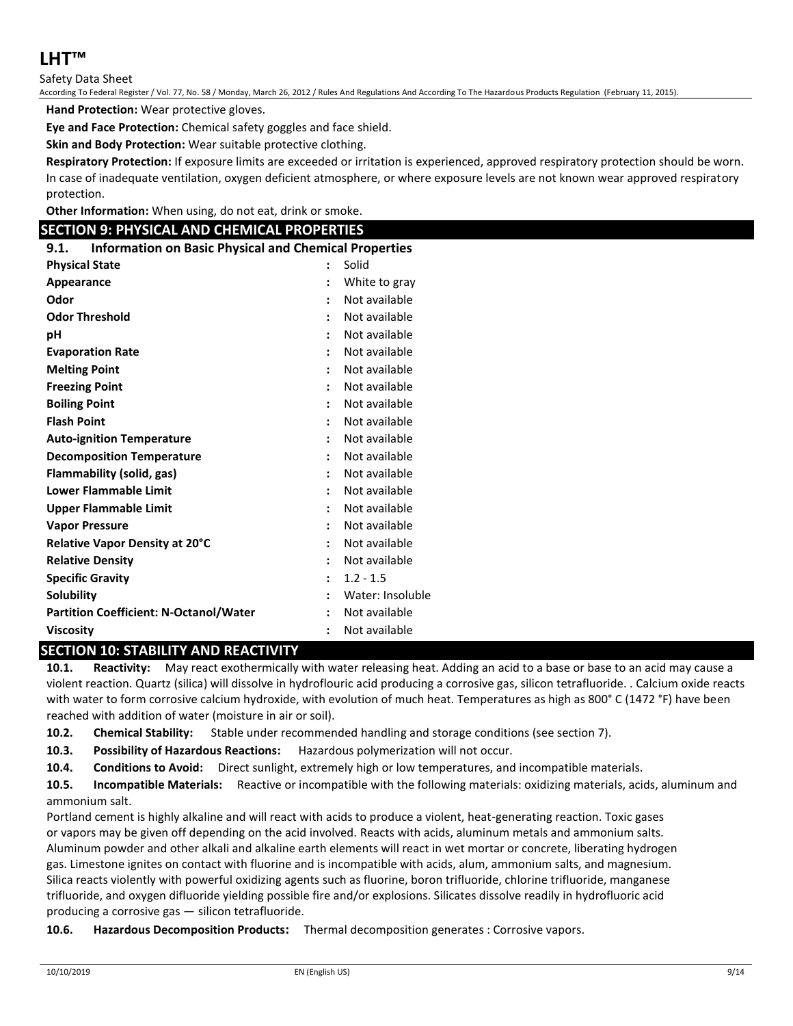Safety Data Sheet

According To Federal Register / Vol. 77, No. 58 / Monday, March 26, 2012 / Rules And Regulations And According To The Hazardous Products Regulation (February 11, 2015).

**Hand Protection:** Wear protective gloves.

**Eye and Face Protection:** Chemical safety goggles and face shield.

**Skin and Body Protection:** Wear suitable protective clothing.

**Respiratory Protection:** If exposure limits are exceeded or irritation is experienced, approved respiratory protection should be worn. In case of inadequate ventilation, oxygen deficient atmosphere, or where exposure levels are not known wear approved respiratory protection.

**Other Information:** When using, do not eat, drink or smoke.

## **SECTION 9: PHYSICAL AND CHEMICAL PROPERTIES**

**9.1. Information on Basic Physical and Chemical Properties**

| <b>Physical State</b>                         |                      | Solid            |
|-----------------------------------------------|----------------------|------------------|
| Appearance                                    | :                    | White to gray    |
| Odor                                          |                      | Not available    |
| <b>Odor Threshold</b>                         | $\ddot{\phantom{a}}$ | Not available    |
| рH                                            |                      | Not available    |
| <b>Evaporation Rate</b>                       |                      | Not available    |
| <b>Melting Point</b>                          |                      | Not available    |
| <b>Freezing Point</b>                         |                      | Not available    |
| <b>Boiling Point</b>                          | $\ddot{\phantom{a}}$ | Not available    |
| <b>Flash Point</b>                            |                      | Not available    |
| <b>Auto-ignition Temperature</b>              | $\ddot{\phantom{a}}$ | Not available    |
| <b>Decomposition Temperature</b>              |                      | Not available    |
| Flammability (solid, gas)                     | $\ddot{\cdot}$       | Not available    |
| <b>Lower Flammable Limit</b>                  |                      | Not available    |
| <b>Upper Flammable Limit</b>                  |                      | Not available    |
| <b>Vapor Pressure</b>                         |                      | Not available    |
| Relative Vapor Density at 20°C                |                      | Not available    |
| <b>Relative Density</b>                       |                      | Not available    |
| <b>Specific Gravity</b>                       |                      | $1.2 - 1.5$      |
| <b>Solubility</b>                             |                      | Water: Insoluble |
| <b>Partition Coefficient: N-Octanol/Water</b> |                      | Not available    |
| <b>Viscosity</b>                              | $\ddot{\cdot}$       | Not available    |

## **SECTION 10: STABILITY AND REACTIVITY**

**10.1. Reactivity:** May react exothermically with water releasing heat. Adding an acid to a base or base to an acid may cause a violent reaction. Quartz (silica) will dissolve in hydroflouric acid producing a corrosive gas, silicon tetrafluoride. . Calcium oxide reacts with water to form corrosive calcium hydroxide, with evolution of much heat. Temperatures as high as 800° C (1472 °F) have been reached with addition of water (moisture in air or soil).

**10.2. Chemical Stability:** Stable under recommended handling and storage conditions (see section 7).

**10.3. Possibility of Hazardous Reactions:** Hazardous polymerization will not occur.

**10.4. Conditions to Avoid:** Direct sunlight, extremely high or low temperatures, and incompatible materials.

**10.5. Incompatible Materials:** Reactive or incompatible with the following materials: oxidizing materials, acids, aluminum and ammonium salt.

Portland cement is highly alkaline and will react with acids to produce a violent, heat-generating reaction. Toxic gases or vapors may be given off depending on the acid involved. Reacts with acids, aluminum metals and ammonium salts. Aluminum powder and other alkali and alkaline earth elements will react in wet mortar or concrete, liberating hydrogen gas. Limestone ignites on contact with fluorine and is incompatible with acids, alum, ammonium salts, and magnesium. Silica reacts violently with powerful oxidizing agents such as fluorine, boron trifluoride, chlorine trifluoride, manganese trifluoride, and oxygen difluoride yielding possible fire and/or explosions. Silicates dissolve readily in hydrofluoric acid producing a corrosive gas — silicon tetrafluoride.

**10.6. Hazardous Decomposition Products:** Thermal decomposition generates : Corrosive vapors.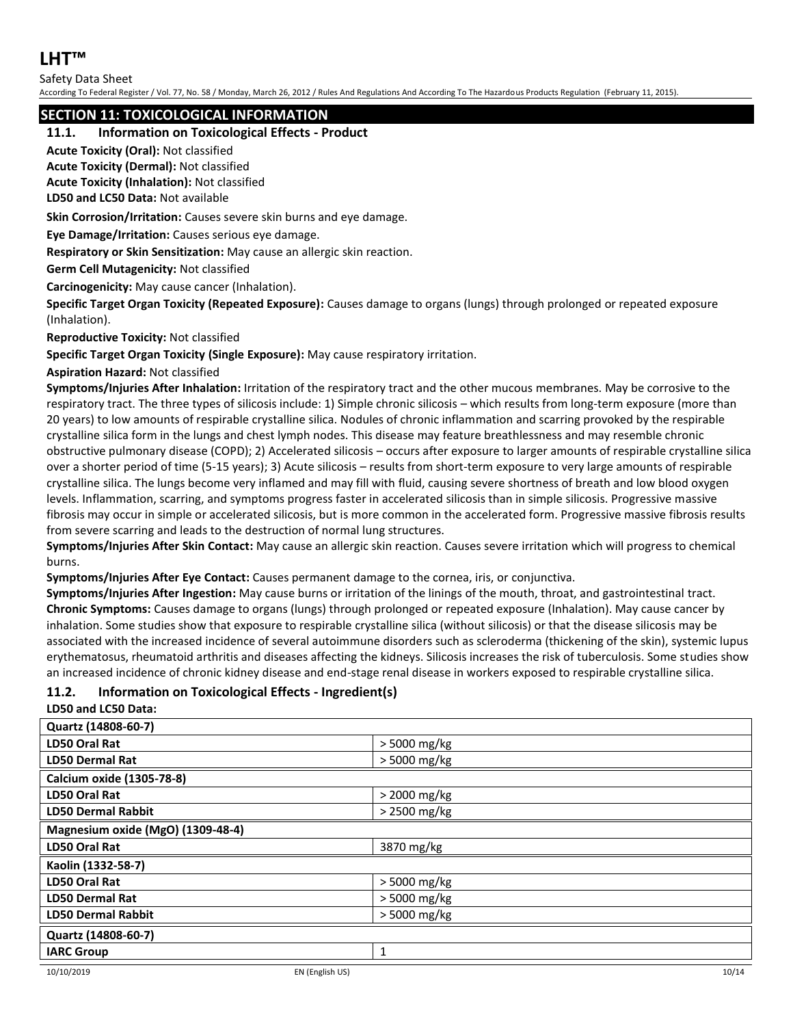## Safety Data Sheet

According To Federal Register / Vol. 77, No. 58 / Monday, March 26, 2012 / Rules And Regulations And According To The Hazardous Products Regulation (February 11, 2015).

## **SECTION 11: TOXICOLOGICAL INFORMATION**

## **11.1. Information on Toxicological Effects - Product**

**Acute Toxicity (Oral):** Not classified

**Acute Toxicity (Dermal):** Not classified

**Acute Toxicity (Inhalation):** Not classified

**LD50 and LC50 Data:** Not available

**Skin Corrosion/Irritation:** Causes severe skin burns and eye damage.

**Eye Damage/Irritation:** Causes serious eye damage.

**Respiratory or Skin Sensitization:** May cause an allergic skin reaction.

**Germ Cell Mutagenicity:** Not classified

**Carcinogenicity:** May cause cancer (Inhalation).

**Specific Target Organ Toxicity (Repeated Exposure):** Causes damage to organs (lungs) through prolonged or repeated exposure (Inhalation).

**Reproductive Toxicity:** Not classified

**Specific Target Organ Toxicity (Single Exposure):** May cause respiratory irritation.

**Aspiration Hazard:** Not classified

**Symptoms/Injuries After Inhalation:** Irritation of the respiratory tract and the other mucous membranes. May be corrosive to the respiratory tract. The three types of silicosis include: 1) Simple chronic silicosis – which results from long-term exposure (more than 20 years) to low amounts of respirable crystalline silica. Nodules of chronic inflammation and scarring provoked by the respirable crystalline silica form in the lungs and chest lymph nodes. This disease may feature breathlessness and may resemble chronic obstructive pulmonary disease (COPD); 2) Accelerated silicosis – occurs after exposure to larger amounts of respirable crystalline silica over a shorter period of time (5-15 years); 3) Acute silicosis – results from short-term exposure to very large amounts of respirable crystalline silica. The lungs become very inflamed and may fill with fluid, causing severe shortness of breath and low blood oxygen levels. Inflammation, scarring, and symptoms progress faster in accelerated silicosis than in simple silicosis. Progressive massive fibrosis may occur in simple or accelerated silicosis, but is more common in the accelerated form. Progressive massive fibrosis results from severe scarring and leads to the destruction of normal lung structures.

**Symptoms/Injuries After Skin Contact:** May cause an allergic skin reaction. Causes severe irritation which will progress to chemical burns.

**Symptoms/Injuries After Eye Contact:** Causes permanent damage to the cornea, iris, or conjunctiva.

**Symptoms/Injuries After Ingestion:** May cause burns or irritation of the linings of the mouth, throat, and gastrointestinal tract. **Chronic Symptoms:** Causes damage to organs (lungs) through prolonged or repeated exposure (Inhalation). May cause cancer by inhalation. Some studies show that exposure to respirable crystalline silica (without silicosis) or that the disease silicosis may be associated with the increased incidence of several autoimmune disorders such as scleroderma (thickening of the skin), systemic lupus erythematosus, rheumatoid arthritis and diseases affecting the kidneys. Silicosis increases the risk of tuberculosis. Some studies show an increased incidence of chronic kidney disease and end-stage renal disease in workers exposed to respirable crystalline silica.

## **11.2. Information on Toxicological Effects - Ingredient(s)**

**LD50 and LC50 Data:**

| Quartz (14808-60-7)               |                |  |
|-----------------------------------|----------------|--|
| <b>LD50 Oral Rat</b>              | > 5000 mg/kg   |  |
| <b>LD50 Dermal Rat</b>            | > 5000 mg/kg   |  |
| Calcium oxide (1305-78-8)         |                |  |
| <b>LD50 Oral Rat</b>              | > 2000 mg/kg   |  |
| <b>LD50 Dermal Rabbit</b>         | > 2500 mg/kg   |  |
| Magnesium oxide (MgO) (1309-48-4) |                |  |
| <b>LD50 Oral Rat</b>              | 3870 mg/kg     |  |
| Kaolin (1332-58-7)                |                |  |
| <b>LD50 Oral Rat</b>              | $>$ 5000 mg/kg |  |
| <b>LD50 Dermal Rat</b>            | > 5000 mg/kg   |  |
| <b>LD50 Dermal Rabbit</b>         | > 5000 mg/kg   |  |
| Quartz (14808-60-7)               |                |  |
| <b>IARC Group</b>                 | $\mathbf{1}$   |  |
|                                   |                |  |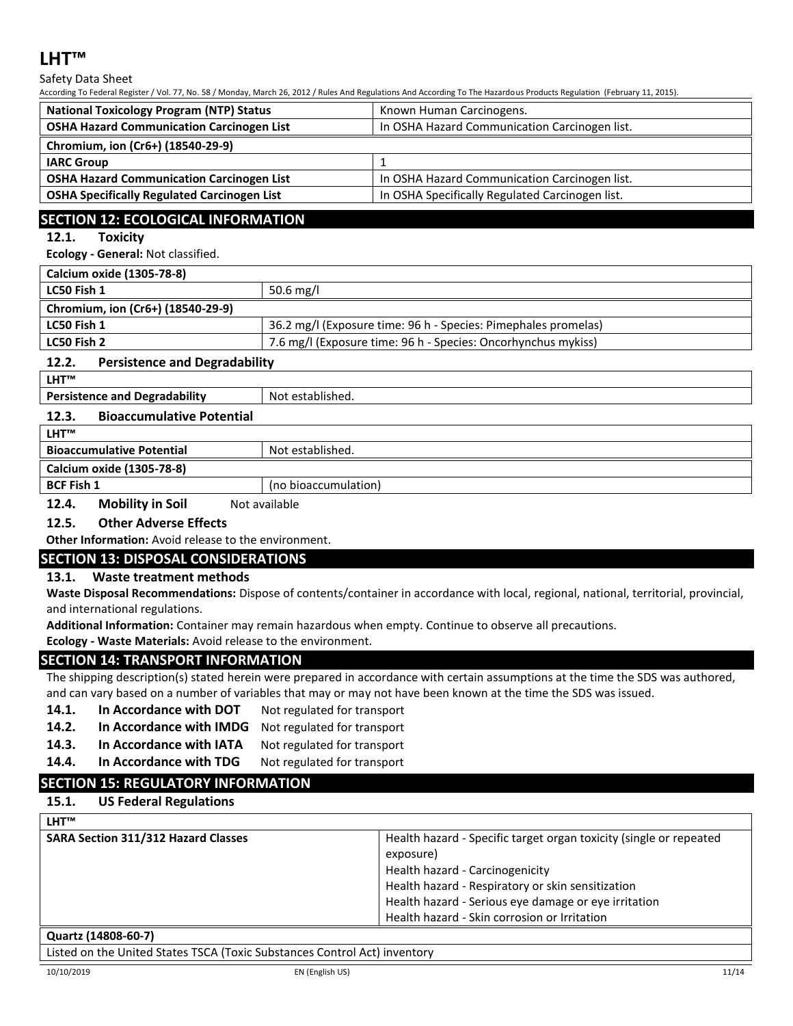Safety Data Sheet

According To Federal Register / Vol. 77, No. 58 / Monday, March 26, 2012 / Rules And Regulations And According To The Hazardous Products Regulation (February 11, 2015).

| <b>National Toxicology Program (NTP) Status</b>    | Known Human Carcinogens.                        |  |
|----------------------------------------------------|-------------------------------------------------|--|
| <b>OSHA Hazard Communication Carcinogen List</b>   | In OSHA Hazard Communication Carcinogen list.   |  |
| Chromium, ion (Cr6+) (18540-29-9)                  |                                                 |  |
| <b>IARC Group</b>                                  |                                                 |  |
| <b>OSHA Hazard Communication Carcinogen List</b>   | In OSHA Hazard Communication Carcinogen list.   |  |
| <b>OSHA Specifically Regulated Carcinogen List</b> | In OSHA Specifically Regulated Carcinogen list. |  |

## **SECTION 12: ECOLOGICAL INFORMATION**

## **12.1. Toxicity**

**Ecology - General:** Not classified.

| Calcium oxide (1305-78-8)         |                                                                |  |
|-----------------------------------|----------------------------------------------------------------|--|
| LC50 Fish 1                       | 50.6 mg/l                                                      |  |
| Chromium, ion (Cr6+) (18540-29-9) |                                                                |  |
| LC50 Fish 1                       | 36.2 mg/l (Exposure time: 96 h - Species: Pimephales promelas) |  |
| LC50 Fish 2                       | 7.6 mg/l (Exposure time: 96 h - Species: Oncorhynchus mykiss)  |  |
|                                   |                                                                |  |

## **12.2. Persistence and Degradability**

**LHT™**

**Persistence and Degradability** Not established.

## **12.3. Bioaccumulative Potential**

| <b>LHT™</b>                               |                  |  |
|-------------------------------------------|------------------|--|
| <b>Bioaccumulative Potential</b>          | Not established. |  |
| Calcium oxide (1305-78-8)                 |                  |  |
| <b>BCF Fish 1</b><br>(no bioaccumulation) |                  |  |
|                                           |                  |  |

**12.4. Mobility in Soil** Not available

## **12.5. Other Adverse Effects**

**Other Information:** Avoid release to the environment.

## **SECTION 13: DISPOSAL CONSIDERATIONS**

## **13.1. Waste treatment methods**

**Waste Disposal Recommendations:** Dispose of contents/container in accordance with local, regional, national, territorial, provincial, and international regulations.

**Additional Information:** Container may remain hazardous when empty. Continue to observe all precautions.

**Ecology - Waste Materials:** Avoid release to the environment.

## **SECTION 14: TRANSPORT INFORMATION**

The shipping description(s) stated herein were prepared in accordance with certain assumptions at the time the SDS was authored, and can vary based on a number of variables that may or may not have been known at the time the SDS was issued.

- 14.1. In Accordance with DOT Not regulated for transport
- **14.2. In Accordance with IMDG** Not regulated for transport
- 14.3. In Accordance with IATA Not regulated for transport
- 14.4. In Accordance with TDG Not regulated for transport
- 

## **SECTION 15: REGULATORY INFORMATION**

## **15.1. US Federal Regulations**

**LHT™ SARA Section 311/312 Hazard Classes** Health hazard - Specific target organ toxicity (single or repeated exposure) Health hazard - Carcinogenicity Health hazard - Respiratory or skin sensitization Health hazard - Serious eye damage or eye irritation Health hazard - Skin corrosion or Irritation

#### **Quartz (14808-60-7)**

Listed on the United States TSCA (Toxic Substances Control Act) inventory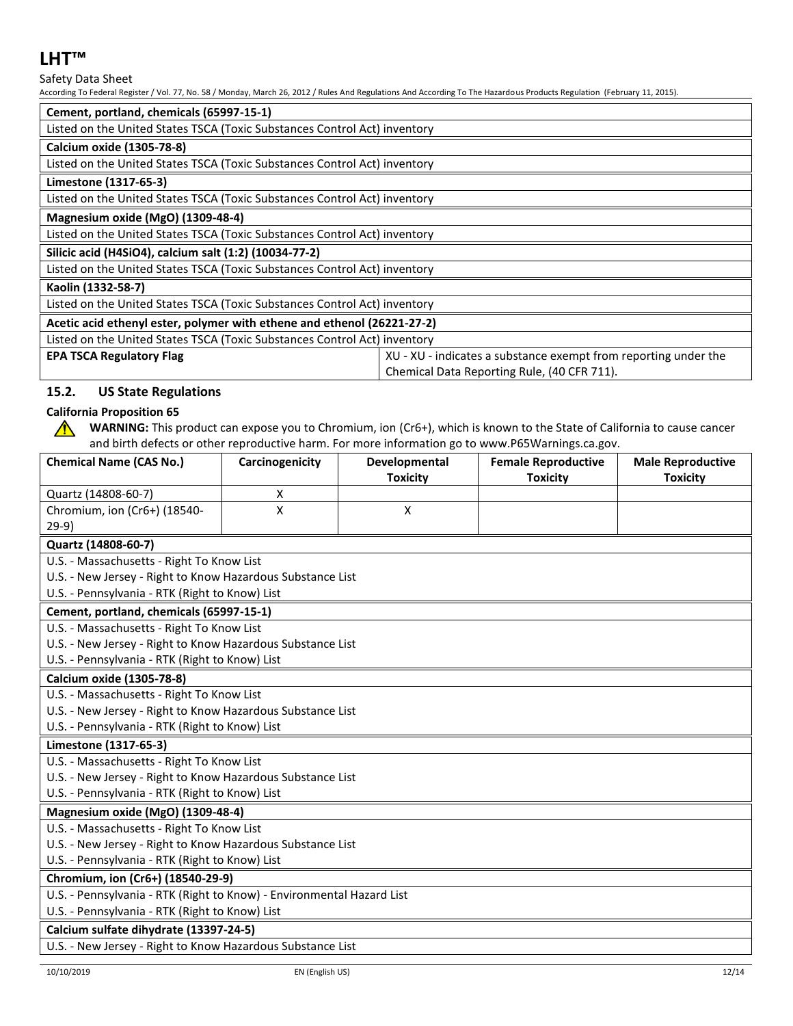Safety Data Sheet

According To Federal Register / Vol. 77, No. 58 / Monday, March 26, 2012 / Rules And Regulations And According To The Hazardous Products Regulation (February 11, 2015).

| Cement, portland, chemicals (65997-15-1)                                                           |  |  |
|----------------------------------------------------------------------------------------------------|--|--|
| Listed on the United States TSCA (Toxic Substances Control Act) inventory                          |  |  |
| Calcium oxide (1305-78-8)                                                                          |  |  |
| Listed on the United States TSCA (Toxic Substances Control Act) inventory                          |  |  |
| Limestone (1317-65-3)                                                                              |  |  |
| Listed on the United States TSCA (Toxic Substances Control Act) inventory                          |  |  |
| Magnesium oxide (MgO) (1309-48-4)                                                                  |  |  |
| Listed on the United States TSCA (Toxic Substances Control Act) inventory                          |  |  |
| Silicic acid (H4SiO4), calcium salt (1:2) (10034-77-2)                                             |  |  |
| Listed on the United States TSCA (Toxic Substances Control Act) inventory                          |  |  |
| Kaolin (1332-58-7)                                                                                 |  |  |
| Listed on the United States TSCA (Toxic Substances Control Act) inventory                          |  |  |
| Acetic acid ethenyl ester, polymer with ethene and ethenol (26221-27-2)                            |  |  |
| Listed on the United States TSCA (Toxic Substances Control Act) inventory                          |  |  |
| XU - XU - indicates a substance exempt from reporting under the<br><b>EPA TSCA Regulatory Flag</b> |  |  |
| Chemical Data Reporting Rule, (40 CFR 711).                                                        |  |  |

## **15.2. US State Regulations**

## **California Proposition 65**

 $\bigwedge$ 

**WARNING:** This product can expose you to Chromium, ion (Cr6+), which is known to the State of California to cause cancer and birth defects or other reproductive harm. For more information go to www.P65Warnings.ca.gov.

| <b>Chemical Name (CAS No.)</b>                                        | Carcinogenicity | Developmental<br><b>Toxicity</b> | <b>Female Reproductive</b><br><b>Toxicity</b> | <b>Male Reproductive</b><br><b>Toxicity</b> |  |  |
|-----------------------------------------------------------------------|-----------------|----------------------------------|-----------------------------------------------|---------------------------------------------|--|--|
| Quartz (14808-60-7)                                                   | x               |                                  |                                               |                                             |  |  |
| Chromium, ion (Cr6+) (18540-                                          | X               | $\mathsf{X}$                     |                                               |                                             |  |  |
| $29-9)$                                                               |                 |                                  |                                               |                                             |  |  |
| Quartz (14808-60-7)                                                   |                 |                                  |                                               |                                             |  |  |
| U.S. - Massachusetts - Right To Know List                             |                 |                                  |                                               |                                             |  |  |
| U.S. - New Jersey - Right to Know Hazardous Substance List            |                 |                                  |                                               |                                             |  |  |
| U.S. - Pennsylvania - RTK (Right to Know) List                        |                 |                                  |                                               |                                             |  |  |
| Cement, portland, chemicals (65997-15-1)                              |                 |                                  |                                               |                                             |  |  |
| U.S. - Massachusetts - Right To Know List                             |                 |                                  |                                               |                                             |  |  |
| U.S. - New Jersey - Right to Know Hazardous Substance List            |                 |                                  |                                               |                                             |  |  |
| U.S. - Pennsylvania - RTK (Right to Know) List                        |                 |                                  |                                               |                                             |  |  |
| Calcium oxide (1305-78-8)                                             |                 |                                  |                                               |                                             |  |  |
| U.S. - Massachusetts - Right To Know List                             |                 |                                  |                                               |                                             |  |  |
| U.S. - New Jersey - Right to Know Hazardous Substance List            |                 |                                  |                                               |                                             |  |  |
| U.S. - Pennsylvania - RTK (Right to Know) List                        |                 |                                  |                                               |                                             |  |  |
| Limestone (1317-65-3)                                                 |                 |                                  |                                               |                                             |  |  |
| U.S. - Massachusetts - Right To Know List                             |                 |                                  |                                               |                                             |  |  |
| U.S. - New Jersey - Right to Know Hazardous Substance List            |                 |                                  |                                               |                                             |  |  |
| U.S. - Pennsylvania - RTK (Right to Know) List                        |                 |                                  |                                               |                                             |  |  |
| Magnesium oxide (MgO) (1309-48-4)                                     |                 |                                  |                                               |                                             |  |  |
| U.S. - Massachusetts - Right To Know List                             |                 |                                  |                                               |                                             |  |  |
| U.S. - New Jersey - Right to Know Hazardous Substance List            |                 |                                  |                                               |                                             |  |  |
| U.S. - Pennsylvania - RTK (Right to Know) List                        |                 |                                  |                                               |                                             |  |  |
| Chromium, ion (Cr6+) (18540-29-9)                                     |                 |                                  |                                               |                                             |  |  |
| U.S. - Pennsylvania - RTK (Right to Know) - Environmental Hazard List |                 |                                  |                                               |                                             |  |  |
| U.S. - Pennsylvania - RTK (Right to Know) List                        |                 |                                  |                                               |                                             |  |  |
| Calcium sulfate dihydrate (13397-24-5)                                |                 |                                  |                                               |                                             |  |  |
| U.S. - New Jersey - Right to Know Hazardous Substance List            |                 |                                  |                                               |                                             |  |  |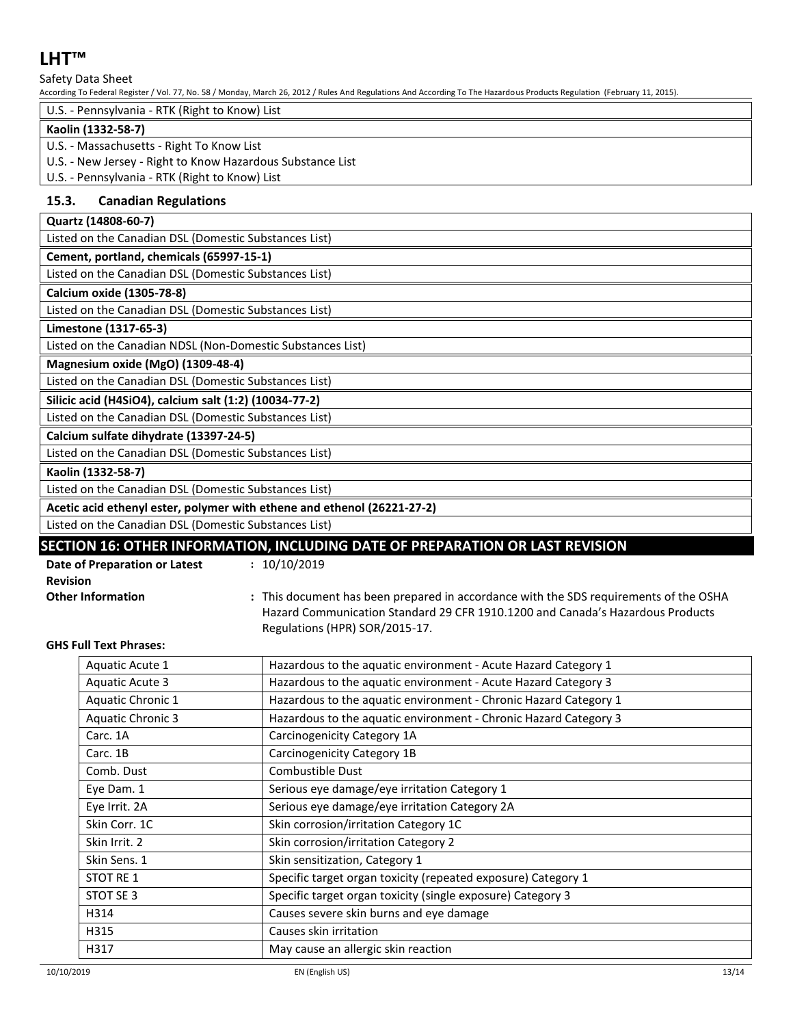Safety Data Sheet

According To Federal Register / Vol. 77, No. 58 / Monday, March 26, 2012 / Rules And Regulations And According To The Hazardous Products Regulation (February 11, 2015).

| U.S. - Pennsylvania - RTK (Right to Know) List             |  |  |  |  |
|------------------------------------------------------------|--|--|--|--|
| Kaolin (1332-58-7)                                         |  |  |  |  |
| U.S. - Massachusetts - Right To Know List                  |  |  |  |  |
| U.S. - New Jersey - Right to Know Hazardous Substance List |  |  |  |  |
| U.S. - Pennsylvania - RTK (Right to Know) List             |  |  |  |  |

## **15.3. Canadian Regulations**

|  | Quartz (14808-60-7) |
|--|---------------------|
|--|---------------------|

Listed on the Canadian DSL (Domestic Substances List)

## **Cement, portland, chemicals (65997-15-1)**

Listed on the Canadian DSL (Domestic Substances List)

**Calcium oxide (1305-78-8)**

Listed on the Canadian DSL (Domestic Substances List)

#### **Limestone (1317-65-3)**

Listed on the Canadian NDSL (Non-Domestic Substances List)

### **Magnesium oxide (MgO) (1309-48-4)**

Listed on the Canadian DSL (Domestic Substances List)

**Silicic acid (H4SiO4), calcium salt (1:2) (10034-77-2)**

Listed on the Canadian DSL (Domestic Substances List)

#### **Calcium sulfate dihydrate (13397-24-5)**

Listed on the Canadian DSL (Domestic Substances List)

#### **Kaolin (1332-58-7)**

Listed on the Canadian DSL (Domestic Substances List)

## **Acetic acid ethenyl ester, polymer with ethene and ethenol (26221-27-2)**

Listed on the Canadian DSL (Domestic Substances List)

## **SECTION 16: OTHER INFORMATION, INCLUDING DATE OF PREPARATION OR LAST REVISION**

| Date of Preparation or Latest |
|-------------------------------|
| <b>Revision</b>               |
| <b>Other Information</b>      |

- **:** 10/10/2019
- **Other Information :** This document has been prepared in accordance with the SDS requirements of the OSHA Hazard Communication Standard 29 CFR 1910.1200 and Canada's Hazardous Products Regulations (HPR) SOR/2015-17.

#### **GHS Full Text Phrases:**

| Aquatic Acute 1          | Hazardous to the aquatic environment - Acute Hazard Category 1   |  |
|--------------------------|------------------------------------------------------------------|--|
| <b>Aquatic Acute 3</b>   | Hazardous to the aquatic environment - Acute Hazard Category 3   |  |
| <b>Aquatic Chronic 1</b> | Hazardous to the aquatic environment - Chronic Hazard Category 1 |  |
| <b>Aquatic Chronic 3</b> | Hazardous to the aquatic environment - Chronic Hazard Category 3 |  |
| Carc. 1A                 | Carcinogenicity Category 1A                                      |  |
| Carc. 1B                 | Carcinogenicity Category 1B                                      |  |
| Comb. Dust               | Combustible Dust                                                 |  |
| Eye Dam. 1               | Serious eye damage/eye irritation Category 1                     |  |
| Eye Irrit. 2A            | Serious eye damage/eye irritation Category 2A                    |  |
| Skin Corr. 1C            | Skin corrosion/irritation Category 1C                            |  |
| Skin Irrit. 2            | Skin corrosion/irritation Category 2                             |  |
| Skin Sens. 1             | Skin sensitization, Category 1                                   |  |
| <b>STOT RE1</b>          | Specific target organ toxicity (repeated exposure) Category 1    |  |
| STOT SE 3                | Specific target organ toxicity (single exposure) Category 3      |  |
| H314                     | Causes severe skin burns and eye damage                          |  |
| H315                     | Causes skin irritation                                           |  |
| H317                     | May cause an allergic skin reaction                              |  |